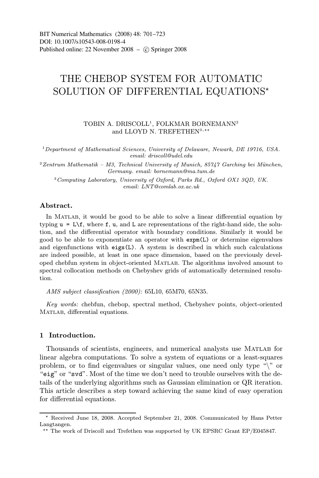# THE CHEBOP SYSTEM FOR AUTOMATIC SOLUTION OF DIFFERENTIAL EQUATIONS

TOBIN A. DRISCOLL<sup>1</sup>, FOLKMAR BORNEMANN<sup>2</sup> and LLOYD N. TREFETHEN<sup>3,\*\*</sup>

<sup>1</sup>Department of Mathematical Sciences, University of Delaware, Newark, DE 19716, USA. email: driscoll@udel.edu

 $2$ Zentrum Mathematik – M3, Technical University of Munich, 85747 Garching bei München, Germany. email: bornemann@ma.tum.de

<sup>3</sup>Computing Laboratory, University of Oxford, Parks Rd., Oxford OX1 3QD, UK. email: LNT@comlab.ox.ac.uk

## Abstract.

In MATLAB, it would be good to be able to solve a linear differential equation by typing  $u = L \cdot f$ , where f, u, and L are representations of the right-hand side, the solution, and the differential operator with boundary conditions. Similarly it would be good to be able to exponentiate an operator with expm(L) or determine eigenvalues and eigenfunctions with eigs(L). A system is described in which such calculations are indeed possible, at least in one space dimension, based on the previously developed chebfun system in object-oriented Matlab. The algorithms involved amount to spectral collocation methods on Chebyshev grids of automatically determined resolution.

AMS subject classification (2000): 65L10, 65M70, 65N35.

Key words: chebfun, chebop, spectral method, Chebyshev points, object-oriented MATLAB, differential equations.

## 1 Introduction.

Thousands of scientists, engineers, and numerical analysts use Matlab for linear algebra computations. To solve a system of equations or a least-squares problem, or to find eigenvalues or singular values, one need only type "\" or "eig" or "svd". Most of the time we don't need to trouble ourselves with the details of the underlying algorithms such as Gaussian elimination or QR iteration. This article describes a step toward achieving the same kind of easy operation for differential equations.

Received June 18, 2008. Accepted September 21, 2008. Communicated by Hans Petter Langtangen.

<sup>\*\*</sup> The work of Driscoll and Trefethen was supported by UK EPSRC Grant EP/E045847.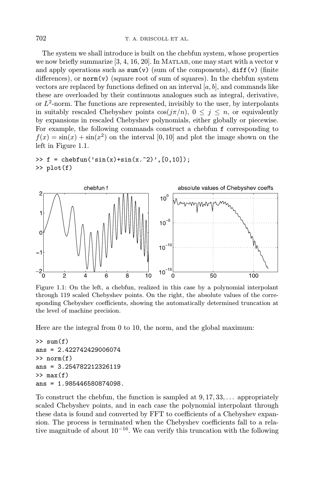The system we shall introduce is built on the chebfun system, whose properties we now briefly summarize  $[3, 4, 16, 20]$ . In MATLAB, one may start with a vector  $\mathbf{v}$ and apply operations such as  $sum(v)$  (sum of the components),  $diff(v)$  (finite differences), or  $norm(v)$  (square root of sum of squares). In the chebfun system vectors are replaced by functions defined on an interval  $[a, b]$ , and commands like these are overloaded by their continuous analogues such as integral, derivative, or  $L^2$ -norm. The functions are represented, invisibly to the user, by interpolants in suitably rescaled Chebyshev points  $\cos(j\pi/n)$ ,  $0 \leq j \leq n$ , or equivalently by expansions in rescaled Chebyshev polynomials, either globally or piecewise. For example, the following commands construct a chebfun f corresponding to  $f(x) = \sin(x) + \sin(x^2)$  on the interval [0, 10] and plot the image shown on the left in Figure 1.1.

```
\Rightarrow f = chebfun('sin(x)+sin(x.^2)',[0,10]);
>> plot(f)
```


Figure 1.1: On the left, a chebfun, realized in this case by a polynomial interpolant through 119 scaled Chebyshev points. On the right, the absolute values of the corresponding Chebyshev coefficients, showing the automatically determined truncation at the level of machine precision.

Here are the integral from 0 to 10, the norm, and the global maximum:

```
\gg sum(f)ans = 2.422742429006074
>> norm(f)
ans = 3.254782212326119\gg max(f)ans = 1.985446580874098.
```
To construct the chebfun, the function is sampled at 9, 17, 33,... appropriately scaled Chebyshev points, and in each case the polynomial interpolant through these data is found and converted by FFT to coefficients of a Chebyshev expansion. The process is terminated when the Chebyshev coefficients fall to a relative magnitude of about  $10^{-16}$ . We can verify this truncation with the following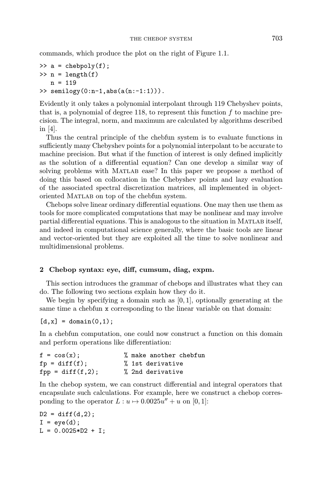commands, which produce the plot on the right of Figure 1.1.

```
\Rightarrow a = chebpoly(f);
\gg n = length(f)
   n = 119>> semilogy(0:n-1,abs(a(n:-1:1))).
```
Evidently it only takes a polynomial interpolant through 119 Chebyshev points, that is, a polynomial of degree 118, to represent this function  $f$  to machine precision. The integral, norm, and maximum are calculated by algorithms described in [4].

Thus the central principle of the chebfun system is to evaluate functions in sufficiently many Chebyshev points for a polynomial interpolant to be accurate to machine precision. But what if the function of interest is only defined implicitly as the solution of a differential equation? Can one develop a similar way of solving problems with Matlab ease? In this paper we propose a method of doing this based on collocation in the Chebyshev points and lazy evaluation of the associated spectral discretization matrices, all implemented in objectoriented Matlab on top of the chebfun system.

Chebops solve linear ordinary differential equations. One may then use them as tools for more complicated computations that may be nonlinear and may involve partial differential equations. This is analogous to the situation in MATLAB itself, and indeed in computational science generally, where the basic tools are linear and vector-oriented but they are exploited all the time to solve nonlinear and multidimensional problems.

## 2 Chebop syntax: eye, diff, cumsum, diag, expm.

This section introduces the grammar of chebops and illustrates what they can do. The following two sections explain how they do it.

We begin by specifying a domain such as  $[0, 1]$ , optionally generating at the same time a chebfun x corresponding to the linear variable on that domain:

 $[d, x] = domain(0, 1);$ 

In a chebfun computation, one could now construct a function on this domain and perform operations like differentiation:

| $f = cos(x)$ ;     | % make another chebfun |
|--------------------|------------------------|
| $fp = diff(f);$    | % 1st derivative       |
| $fpp = diff(f,2);$ | % 2nd derivative       |

In the chebop system, we can construct differential and integral operators that encapsulate such calculations. For example, here we construct a chebop corresponding to the operator  $L: u \mapsto 0.0025u'' + u$  on [0, 1]:

 $D2 = diff(d, 2);$  $I = eye(d);$  $L = 0.0025*D2 + I;$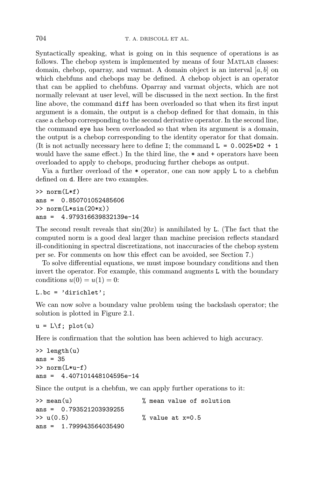Syntactically speaking, what is going on in this sequence of operations is as follows. The chebop system is implemented by means of four MATLAB classes: domain, chebop, oparray, and varmat. A domain object is an interval  $[a, b]$  on which chebfuns and chebops may be defined. A chebop object is an operator that can be applied to chebfuns. Oparray and varmat objects, which are not normally relevant at user level, will be discussed in the next section. In the first line above, the command diff has been overloaded so that when its first input argument is a domain, the output is a chebop defined for that domain, in this case a chebop corresponding to the second derivative operator. In the second line, the command eye has been overloaded so that when its argument is a domain, the output is a chebop corresponding to the identity operator for that domain. (It is not actually necessary here to define I; the command  $L = 0.0025*D2 + 1$ would have the same effect.) In the third line, the  $*$  and  $*$  operators have been overloaded to apply to chebops, producing further chebops as output.

Via a further overload of the \* operator, one can now apply L to a chebfun defined on d. Here are two examples.

```
>> norm(L*f)
ans = 0.850701052485606
\gg norm(L*sin(20*x))ans = 4.979316639832139e-14
```
The second result reveals that  $sin(20x)$  is annihilated by L. (The fact that the computed norm is a good deal larger than machine precision reflects standard ill-conditioning in spectral discretizations, not inaccuracies of the chebop system per se. For comments on how this effect can be avoided, see Section 7.)

To solve differential equations, we must impose boundary conditions and then invert the operator. For example, this command augments L with the boundary conditions  $u(0) = u(1) = 0$ :

L.bc = 'dirichlet';

We can now solve a boundary value problem using the backslash operator; the solution is plotted in Figure 2.1.

 $u = L \f; plot(u)$ 

Here is confirmation that the solution has been achieved to high accuracy.

```
>> length(u)
ans = 35
>> norm(L*u-f)
ans = 4.407101448104595e-14
```
Since the output is a chebfun, we can apply further operations to it:

```
>> mean(u) % mean value of solution
ans = 0.793521203939255
> u(0.5) % value at x=0.5
ans = 1.799943564035490
```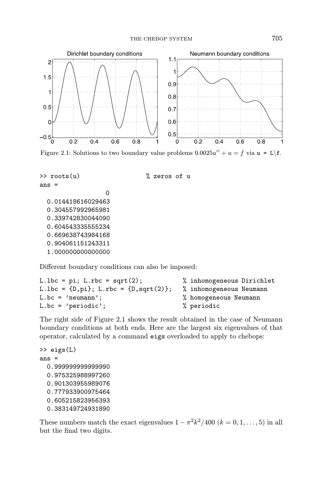

Figure 2.1: Solutions to two boundary value problems  $0.0025u'' + u = f$  via  $u = L\f$ .

```
>> roots(u) % zeros of u
ans =
                 \Omega0.014418616029463
 0.304557992965981
 0.339742830044090
 0.604543335555234
 0.669638743984168
 0.904061151243311
 1.000000000000000
```
Different boundary conditions can also be imposed:

```
L.lbc = pi; L.rbc = sqrt(2); % inhomogeneous Dirichlet
L.lbc = \{D,pi\}; L.rbc = \{D,sqrt(2)\}; % inhomogeneous Neumann
L.bc = 'neumann'; \frac{1}{2} homogeneous Neumann
L.bc = 'periodic'; \% periodic
```
The right side of Figure 2.1 shows the result obtained in the case of Neumann boundary conditions at both ends. Here are the largest six eigenvalues of that operator, calculated by a command eigs overloaded to apply to chebops:

```
>> eigs(L)
ans =
 0.999999999999990
 0.975325988997260
 0.901303955989076
  0.777933900975464
  0.605215823956393
  0.383149724931890
```
These numbers match the exact eigenvalues  $1 - \pi^2 k^2/400$   $(k = 0, 1, \ldots, 5)$  in all but the final two digits.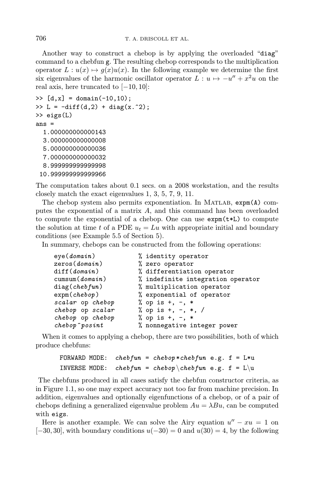Another way to construct a chebop is by applying the overloaded "diag" command to a chebfun g. The resulting chebop corresponds to the multiplication operator  $L: u(x) \mapsto g(x)u(x)$ . In the following example we determine the first six eigenvalues of the harmonic oscillator operator  $L: u \mapsto -u'' + x^2u$  on the real axis, here truncated to  $[-10, 10]$ :

```
\Rightarrow [d,x] = domain(-10,10);
>> L = -diff(d,2) + diag(x.^2);
>> eigs(L)
ans =
  1.000000000000143
  3.000000000000008
  5.000000000000036
  7.000000000000032
  8.999999999999998
 10.999999999999966
```
The computation takes about 0.1 secs. on a 2008 workstation, and the results closely match the exact eigenvalues 1, 3, 5, 7, 9, 11.

The chebop system also permits exponentiation. In MATLAB,  $expm(A)$  computes the exponential of a matrix A, and this command has been overloaded to compute the exponential of a chebop. One can use expm(t\*L) to compute the solution at time t of a PDE  $u_t = Lu$  with appropriate initial and boundary conditions (see Example 5.5 of Section 5).

In summary, chebops can be constructed from the following operations:

| % identity operator               |  |
|-----------------------------------|--|
| % zero operator                   |  |
| % differentiation operator        |  |
| % indefinite integration operator |  |
| % multiplication operator         |  |
| % exponential of operator         |  |
| % op is $+, -, *$                 |  |
| % op is $+, -, *, /$              |  |
| % op is $+, -, *$                 |  |
| % nonnegative integer power       |  |
|                                   |  |

When it comes to applying a chebop, there are two possibilities, both of which produce chebfuns:

```
FORWARD MODE: chebfun = chebop*chebfun e.g. f = L * uINVERSE MODE: chebfun = chebop \chebfun e.g. f = L\u
```
The chebfuns produced in all cases satisfy the chebfun constructor criteria, as in Figure 1.1, so one may expect accuracy not too far from machine precision. In addition, eigenvalues and optionally eigenfunctions of a chebop, or of a pair of chebops defining a generalized eigenvalue problem  $Au = \lambda Bu$ , can be computed with eigs.

Here is another example. We can solve the Airy equation  $u'' - xu = 1$  on  $[-30, 30]$ , with boundary conditions  $u(-30) = 0$  and  $u(30) = 4$ , by the following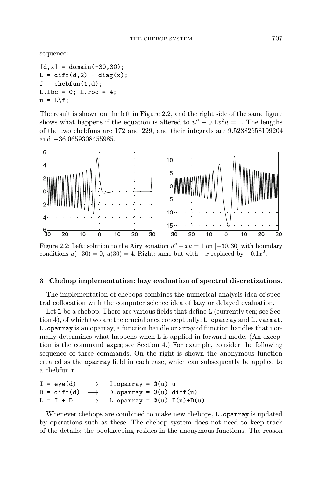sequence:

 $[d, x] = domain(-30, 30);$  $L = diff(d, 2) - diag(x);$  $f = \text{chebfun}(1, d)$ ;  $L.1bc = 0; L.rbc = 4;$  $u = L \$ ;

The result is shown on the left in Figure 2.2, and the right side of the same figure shows what happens if the equation is altered to  $u'' + 0.1x^2u = 1$ . The lengths of the two chebfuns are 172 and 229, and their integrals are 9.52882658199204 and −36.0659308455985.



Figure 2.2: Left: solution to the Airy equation  $u'' - xu = 1$  on  $[-30, 30]$  with boundary conditions  $u(-30) = 0$ ,  $u(30) = 4$ . Right: same but with  $-x$  replaced by  $+0.1x^2$ .

### 3 Chebop implementation: lazy evaluation of spectral discretizations.

The implementation of chebops combines the numerical analysis idea of spectral collocation with the computer science idea of lazy or delayed evaluation.

Let L be a chebop. There are various fields that define L (currently ten; see Section 4), of which two are the crucial ones conceptually: L.oparray and L.varmat. L.oparray is an oparray, a function handle or array of function handles that normally determines what happens when L is applied in forward mode. (An exception is the command expm; see Section 4.) For example, consider the following sequence of three commands. On the right is shown the anonymous function created as the oparray field in each case, which can subsequently be applied to a chebfun u.

```
I = eye(d) \longrightarrow I.openray = \mathcal{Q}(u) uD = diff(d) \longrightarrow D.openray = \mathcal{O}(u) diff(u)L = I + D \longrightarrow L.oparray = \mathcal{Q}(u) I(u)+D(u)
```
Whenever chebops are combined to make new chebops, L.oparray is updated by operations such as these. The chebop system does not need to keep track of the details; the bookkeeping resides in the anonymous functions. The reason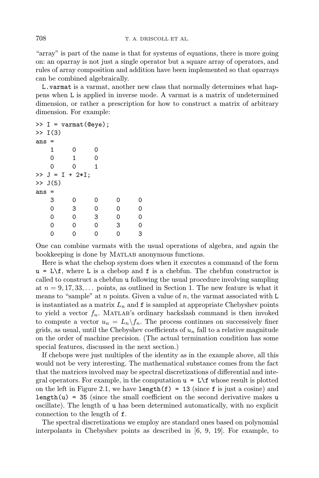"array" is part of the name is that for systems of equations, there is more going on: an oparray is not just a single operator but a square array of operators, and rules of array composition and addition have been implemented so that oparrays can be combined algebraically.

L.varmat is a varmat, another new class that normally determines what happens when L is applied in inverse mode. A varmat is a matrix of undetermined dimension, or rather a prescription for how to construct a matrix of arbitrary dimension. For example:

```
\Rightarrow I = varmat(@eye);
>> I(3)ans =
  100
  0 1 0
  001
>> J = I + 2*I;>> J(5)ans =
  3 0 0 0 0
  0 3 0 0 0
  00300
  0 0 0 3 0
  0 0 0 0 3
```
One can combine varmats with the usual operations of algebra, and again the bookkeeping is done by Matlab anonymous functions.

Here is what the chebop system does when it executes a command of the form  $u = L \ftrsim f$ , where L is a chebop and f is a chebfun. The chebfun constructor is called to construct a chebfun u following the usual procedure involving sampling at  $n = 9, 17, 33, \ldots$  points, as outlined in Section 1. The new feature is what it means to "sample" at  $n$  points. Given a value of  $n$ , the varmat associated with L is instantiated as a matrix  $L_n$  and  $f$  is sampled at appropriate Chebyshev points to yield a vector  $f_n$ . MATLAB's ordinary backslash command is then invoked to compute a vector  $u_n = L_n \backslash f_n$ . The process continues on successively finer grids, as usual, until the Chebyshev coefficients of  $u_n$  fall to a relative magnitude on the order of machine precision. (The actual termination condition has some special features, discussed in the next section.)

If chebops were just multiples of the identity as in the example above, all this would not be very interesting. The mathematical substance comes from the fact that the matrices involved may be spectral discretizations of differential and integral operators. For example, in the computation  $u = L \$ f whose result is plotted on the left in Figure 2.1, we have length(f) = 13 (since f is just a cosine) and length(u) = 35 (since the small coefficient on the second derivative makes u oscillate). The length of u has been determined automatically, with no explicit connection to the length of f.

The spectral discretizations we employ are standard ones based on polynomial interpolants in Chebyshev points as described in [6, 9, 19]. For example, to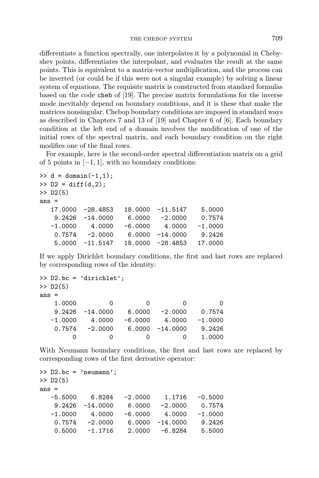differentiate a function spectrally, one interpolates it by a polynomial in Chebyshev points, differentiates the interpolant, and evaluates the result at the same points. This is equivalent to a matrix-vector multiplication, and the process can be inverted (or could be if this were not a singular example) by solving a linear system of equations. The requisite matrix is constructed from standard formulas based on the code cheb of [19]. The precise matrix formulations for the inverse mode inevitably depend on boundary conditions, and it is these that make the matrices nonsingular. Chebop boundary conditions are imposed in standard ways as described in Chapters 7 and 13 of [19] and Chapter 6 of [6]. Each boundary condition at the left end of a domain involves the modification of one of the initial rows of the spectral matrix, and each boundary condition on the right modifies one of the final rows.

For example, here is the second-order spectral differentiation matrix on a grid of 5 points in  $[-1, 1]$ , with no boundary conditions:

```
\gg d = domain(-1,1);
>> D2 = diff(d,2);
>> D2(5)ans =17.0000 -28.4853 18.0000 -11.5147 5.0000
   9.2426 -14.0000 6.0000 -2.0000 0.7574
  -1.0000 4.0000 -6.0000 4.0000 -1.00000.7574 -2.0000 6.0000 -14.0000 9.2426
   5.0000 -11.5147 18.0000 -28.4853 17.0000
```
If we apply Dirichlet boundary conditions, the first and last rows are replaced by corresponding rows of the identity:

```
>> D2.bc = 'dirichlet';
>> D2(5)ans =
  1.0000 0 0 0 0
  9.2426 -14.0000 6.0000 -2.0000 0.7574
  -1.0000 4.0000 -6.0000 4.0000 -1.00000.7574 -2.0000 6.0000 -14.0000 9.2426
     0000 1.0000
```
With Neumann boundary conditions, the first and last rows are replaced by corresponding rows of the first derivative operator:

```
>> D2.bc = 'neumann';
>> D2(5)ans =
  -5.5000 6.8284 -2.0000 1.1716 -0.50009.2426 -14.0000 6.0000 -2.0000 0.7574
  -1.0000 4.0000 -6.0000 4.0000 -1.00000.7574 -2.0000 6.0000 -14.0000 9.2426
   0.5000 -1.1716 2.0000 -6.8284 5.5000
```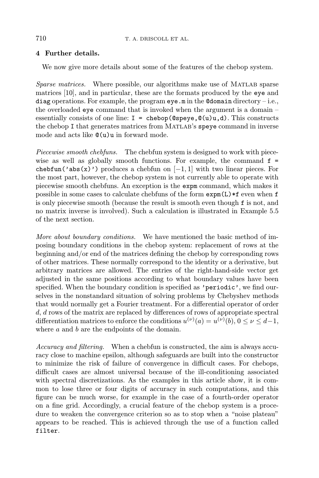# 4 Further details.

We now give more details about some of the features of the chebop system.

Sparse matrices. Where possible, our algorithms make use of MATLAB sparse matrices [10], and in particular, these are the formats produced by the eye and diag operations. For example, the program  $eye.m$  in the  $\texttt{ddomain directory} - i.e.,$ the overloaded eye command that is invoked when the argument is a domain – essentially consists of one line:  $I = \text{chebop}(\text{@spec}, \text{@}(u)u, d)$ . This constructs the chebop I that generates matrices from Matlab's speye command in inverse mode and acts like @(u)u in forward mode.

Piecewise smooth chebfuns. The chebfun system is designed to work with piecewise as well as globally smooth functions. For example, the command  $f =$ chebfun('abs(x)') produces a chebfun on  $[-1, 1]$  with two linear pieces. For the most part, however, the chebop system is not currently able to operate with piecewise smooth chebfuns. An exception is the expm command, which makes it possible in some cases to calculate chebfuns of the form  $\exp(L)*f$  even when f is only piecewise smooth (because the result is smooth even though f is not, and no matrix inverse is involved). Such a calculation is illustrated in Example 5.5 of the next section.

More about boundary conditions. We have mentioned the basic method of imposing boundary conditions in the chebop system: replacement of rows at the beginning and/or end of the matrices defining the chebop by corresponding rows of other matrices. These normally correspond to the identity or a derivative, but arbitrary matrices are allowed. The entries of the right-hand-side vector get adjusted in the same positions according to what boundary values have been specified. When the boundary condition is specified as 'periodic', we find ourselves in the nonstandard situation of solving problems by Chebyshev methods that would normally get a Fourier treatment. For a differential operator of order d, d rows of the matrix are replaced by differences of rows of appropriate spectral differentiation matrices to enforce the conditions  $u^{(\nu)}(a) = u^{(\nu)}(b), 0 \le \nu \le d-1$ , where a and b are the endpoints of the domain.

Accuracy and filtering. When a chebfun is constructed, the aim is always accuracy close to machine epsilon, although safeguards are built into the constructor to minimize the risk of failure of convergence in difficult cases. For chebops, difficult cases are almost universal because of the ill-conditioning associated with spectral discretizations. As the examples in this article show, it is common to lose three or four digits of accuracy in such computations, and this figure can be much worse, for example in the case of a fourth-order operator on a fine grid. Accordingly, a crucial feature of the chebop system is a procedure to weaken the convergence criterion so as to stop when a "noise plateau" appears to be reached. This is achieved through the use of a function called filter.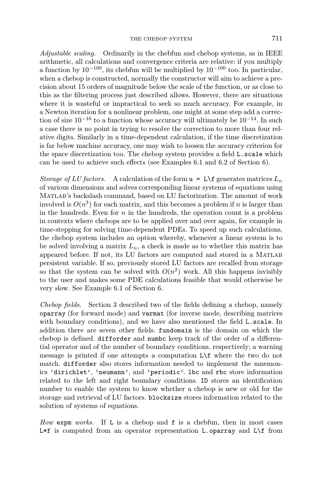Adjustable scaling. Ordinarily in the chebfun and chebop systems, as in IEEE arithmetic, all calculations and convergence criteria are relative: if you multiply a function by  $10^{-100}$ , its chebfun will be multiplied by  $10^{-100}$  too. In particular, when a chebop is constructed, normally the constructor will aim to achieve a precision about 15 orders of magnitude below the scale of the function, or as close to this as the filtering process just described allows. However, there are situations where it is wasteful or impractical to seek so much accuracy. For example, in a Newton iteration for a nonlinear problem, one might at some step add a correction of size  $10^{-10}$  to a function whose accuracy will ultimately be  $10^{-14}$ . In such a case there is no point in trying to resolve the correction to more than four relative digits. Similarly in a time-dependent calculation, if the time discretization is far below machine accuracy, one may wish to loosen the accuracy criterion for the space discretization too. The chebop system provides a field L.scale which can be used to achieve such effects (see Examples 6.1 and 6.2 of Section 6).

Storage of LU factors. A calculation of the form  $u = L \$ f generates matrices  $L_n$ of various dimensions and solves corresponding linear systems of equations using Matlab's backslash command, based on LU factorization. The amount of work involved is  $O(n^3)$  for each matrix, and this becomes a problem if n is larger than in the hundreds. Even for  $n$  in the hundreds, the operation count is a problem in contexts where chebops are to be applied over and over again, for example in time-stepping for solving time-dependent PDEs. To speed up such calculations, the chebop system includes an option whereby, whenever a linear system is to be solved involving a matrix  $L_n$ , a check is made as to whether this matrix has appeared before. If not, its LU factors are computed and stored in a Matlab persistent variable. If so, previously stored LU factors are recalled from storage so that the system can be solved with  $O(n^2)$  work. All this happens invisibly to the user and makes some PDE calculations feasible that would otherwise be very slow. See Example 6.1 of Section 6.

Chebop fields. Section 3 described two of the fields defining a chebop, namely oparray (for forward mode) and varmat (for inverse mode, describing matrices with boundary conditions), and we have also mentioned the field L.scale. In addition there are seven other fields. fundomain is the domain on which the chebop is defined. difforder and numbc keep track of the order of a differential operator and of the number of boundary conditions, respectively; a warning message is printed if one attempts a computation L\f where the two do not match. difforder also stores information needed to implement the mnemonics 'dirichlet', 'neumann', and 'periodic'. lbc and rbc store information related to the left and right boundary conditions. ID stores an identification number to enable the system to know whether a chebop is new or old for the storage and retrieval of LU factors. blocksize stores information related to the solution of systems of equations.

How expm works. If L is a chebop and f is a chebfun, then in most cases  $L*f$  is computed from an operator representation L.oparray and  $L*f$  from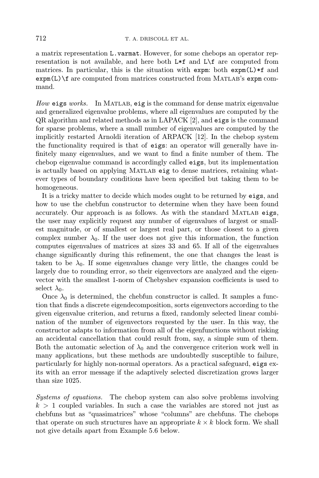a matrix representation L.varmat. However, for some chebops an operator representation is not available, and here both L\*f and L\f are computed from matrices. In particular, this is the situation with expm: both expm(L)\*f and expm(L)\f are computed from matrices constructed from Matlab's expm command.

How eigs works. In MATLAB, eig is the command for dense matrix eigenvalue and generalized eigenvalue problems, where all eigenvalues are computed by the QR algorithm and related methods as in LAPACK [2], and eigs is the command for sparse problems, where a small number of eigenvalues are computed by the implicitly restarted Arnoldi iteration of ARPACK [12]. In the chebop system the functionality required is that of eigs: an operator will generally have infinitely many eigenvalues, and we want to find a finite number of them. The chebop eigenvalue command is accordingly called eigs, but its implementation is actually based on applying Matlab eig to dense matrices, retaining whatever types of boundary conditions have been specified but taking them to be homogeneous.

It is a tricky matter to decide which modes ought to be returned by eigs, and how to use the chebfun constructor to determine when they have been found accurately. Our approach is as follows. As with the standard Matlab eigs, the user may explicitly request any number of eigenvalues of largest or smallest magnitude, or of smallest or largest real part, or those closest to a given complex number  $\lambda_0$ . If the user does not give this information, the function computes eigenvalues of matrices at sizes 33 and 65. If all of the eigenvalues change significantly during this refinement, the one that changes the least is taken to be  $\lambda_0$ . If some eigenvalues change very little, the changes could be largely due to rounding error, so their eigenvectors are analyzed and the eigenvector with the smallest 1-norm of Chebyshev expansion coefficients is used to select  $\lambda_0$ .

Once  $\lambda_0$  is determined, the chebfun constructor is called. It samples a function that finds a discrete eigendecomposition, sorts eigenvectors according to the given eigenvalue criterion, and returns a fixed, randomly selected linear combination of the number of eigenvectors requested by the user. In this way, the constructor adapts to information from all of the eigenfunctions without risking an accidental cancellation that could result from, say, a simple sum of them. Both the automatic selection of  $\lambda_0$  and the convergence criterion work well in many applications, but these methods are undoubtedly susceptible to failure, particularly for highly non-normal operators. As a practical safeguard, eigs exits with an error message if the adaptively selected discretization grows larger than size 1025.

Systems of equations. The chebop system can also solve problems involving  $k > 1$  coupled variables. In such a case the variables are stored not just as chebfuns but as "quasimatrices" whose "columns" are chebfuns. The chebops that operate on such structures have an appropriate  $k \times k$  block form. We shall not give details apart from Example 5.6 below.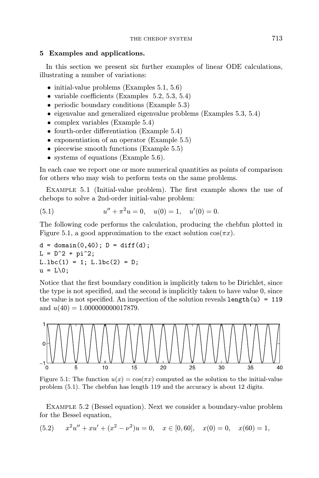### 5 Examples and applications.

In this section we present six further examples of linear ODE calculations, illustrating a number of variations:

- initial-value problems (Examples 5.1, 5.6)
- variable coefficients (Examples 5.2, 5.3, 5.4)
- periodic boundary conditions (Example 5.3)
- eigenvalue and generalized eigenvalue problems (Examples 5.3, 5.4)
- complex variables (Example 5.4)
- fourth-order differentiation (Example 5.4)
- exponentiation of an operator (Example 5.5)
- piecewise smooth functions (Example 5.5)
- systems of equations (Example 5.6).

In each case we report one or more numerical quantities as points of comparison for others who may wish to perform tests on the same problems.

Example 5.1 (Initial-value problem). The first example shows the use of chebops to solve a 2nd-order initial-value problem:

(5.1) 
$$
u'' + \pi^2 u = 0, \quad u(0) = 1, \quad u'(0) = 0.
$$

The following code performs the calculation, producing the chebfun plotted in Figure 5.1, a good approximation to the exact solution  $cos(\pi x)$ .

```
d = domain(0, 40); D = diff(d);
L = D^2 + pi^2;L.1bc(1) = 1; L.1bc(2) = D;u = L\ 0;
```
Notice that the first boundary condition is implicitly taken to be Dirichlet, since the type is not specified, and the second is implicitly taken to have value 0, since the value is not specified. An inspection of the solution reveals  $\text{length}(u) = 119$ and  $u(40) = 1.000000000017879$ .



Figure 5.1: The function  $u(x) = \cos(\pi x)$  computed as the solution to the initial-value problem (5.1). The chebfun has length 119 and the accuracy is about 12 digits.

Example 5.2 (Bessel equation). Next we consider a boundary-value problem for the Bessel equation,

(5.2) 
$$
x^2u'' + xu' + (x^2 - \nu^2)u = 0
$$
,  $x \in [0, 60]$ ,  $x(0) = 0$ ,  $x(60) = 1$ ,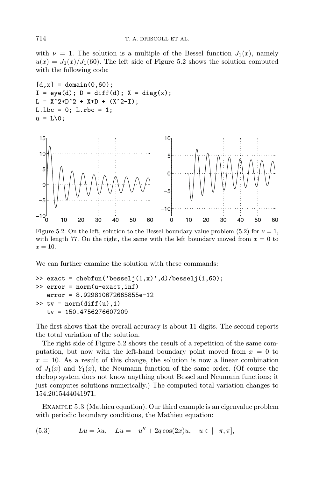with  $\nu = 1$ . The solution is a multiple of the Bessel function  $J_1(x)$ , namely  $u(x) = J_1(x)/J_1(60)$ . The left side of Figure 5.2 shows the solution computed with the following code:

 $[d, x] = domain(0, 60);$  $I = eye(d); D = diff(d); X = diag(x);$  $L = X^2 * D^2 + X * D + (X^2 - I);$  $L.1bc = 0; L.rbc = 1;$  $u = L\ 0;$ 



Figure 5.2: On the left, solution to the Bessel boundary-value problem (5.2) for  $\nu = 1$ , with length 77. On the right, the same with the left boundary moved from  $x = 0$  to  $x=10$ .

We can further examine the solution with these commands:

```
>> exact = chebfun('besselj(1,x)',d)/besselj(1,60);
>> error = norm(u-exact,inf)
   error = 8.929810672665855e-12
\Rightarrow tv = norm(diff(u),1)
   tv = 150.4756276607209
```
The first shows that the overall accuracy is about 11 digits. The second reports the total variation of the solution.

The right side of Figure 5.2 shows the result of a repetition of the same computation, but now with the left-hand boundary point moved from  $x = 0$  to  $x = 10$ . As a result of this change, the solution is now a linear combination of  $J_1(x)$  and  $Y_1(x)$ , the Neumann function of the same order. (Of course the chebop system does not know anything about Bessel and Neumann functions; it just computes solutions numerically.) The computed total variation changes to 154.2015444041971.

Example 5.3 (Mathieu equation). Our third example is an eigenvalue problem with periodic boundary conditions, the Mathieu equation:

(5.3)  $Lu = \lambda u, \quad Lu = -u'' + 2q \cos(2x)u, \quad u \in [-\pi, \pi],$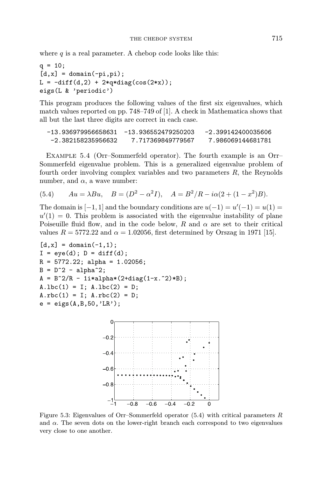where  $q$  is a real parameter. A chebop code looks like this:

```
q = 10;[d, x] = domain(-pi, pi);L = -diff(d, 2) + 2*q*diag(cos(2*x));eigs(L & 'periodic')
```
This program produces the following values of the first six eigenvalues, which match values reported on pp. 748–749 of [1]. A check in Mathematica shows that all but the last three digits are correct in each case.

| -13.936979956658631 | -13.936552479250203 | -2.399142400035606 |
|---------------------|---------------------|--------------------|
| -2.382158235956632  | 7.717369849779567   | 7.986069144681781  |

Example 5.4 (Orr–Sommerfeld operator). The fourth example is an Orr– Sommerfeld eigenvalue problem. This is a generalized eigenvalue problem of fourth order involving complex variables and two parameters  $R$ , the Reynolds number, and  $\alpha$ , a wave number:

(5.4) 
$$
Au = \lambda Bu, \quad B = (D^2 - \alpha^2 I), \quad A = B^2/R - i\alpha(2 + (1 - x^2)B).
$$

The domain is  $[-1, 1]$  and the boundary conditions are  $u(-1) = u'(-1) = u(1) =$  $u'(1) = 0$ . This problem is associated with the eigenvalue instability of plane Poiseuille fluid flow, and in the code below, R and  $\alpha$  are set to their critical values  $R = 5772.22$  and  $\alpha = 1.02056$ , first determined by Orszag in 1971 [15].

```
[d, x] = domain(-1, 1);I = eye(d); D = diff(d);R = 5772.22; alpha = 1.02056;
B = D^2 - alpha^2;A = B^2/R - 1i * alpha * (2 + diag(1 - x.^2) * B);A.1bc(1) = I; A.1bc(2) = D;A.rbc(1) = I; A.rbc(2) = D;
e = eigS(A,B,50,'LR');
```


Figure 5.3: Eigenvalues of Orr–Sommerfeld operator  $(5.4)$  with critical parameters R and  $\alpha$ . The seven dots on the lower-right branch each correspond to two eigenvalues very close to one another.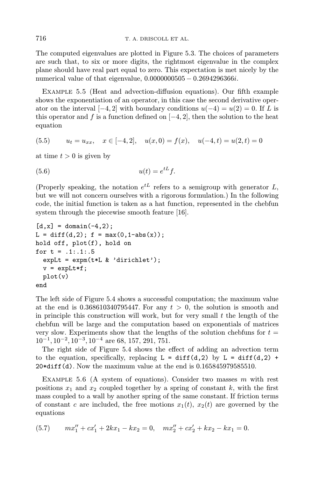The computed eigenvalues are plotted in Figure 5.3. The choices of parameters are such that, to six or more digits, the rightmost eigenvalue in the complex plane should have real part equal to zero. This expectation is met nicely by the numerical value of that eigenvalue, 0.0000000505 − 0.2694296366*i*.

Example 5.5 (Heat and advection-diffusion equations). Our fifth example shows the exponentiation of an operator, in this case the second derivative operator on the interval  $[-4, 2]$  with boundary conditions  $u(-4) = u(2) = 0$ . If L is this operator and f is a function defined on  $[-4, 2]$ , then the solution to the heat equation

$$
(5.5) \qquad u_t = u_{xx}, \quad x \in [-4, 2], \quad u(x, 0) = f(x), \quad u(-4, t) = u(2, t) = 0
$$

at time  $t > 0$  is given by

$$
(5.6) \t\t u(t) = e^{tL}f.
$$

(Properly speaking, the notation  $e^{tL}$  refers to a semigroup with generator L, but we will not concern ourselves with a rigorous formulation.) In the following code, the initial function is taken as a hat function, represented in the chebfun system through the piecewise smooth feature [16].

```
[d, x] = domain(-4, 2);L = diff(d, 2); f = max(0, 1 - abs(x));hold off, plot(f), hold on
for t = .1: .1: .5expLt = expm(t*L & 'dirichlet');
  v = expLt*f;plot(v)
end
```
The left side of Figure 5.4 shows a successful computation; the maximum value at the end is  $0.368610340795447$ . For any  $t > 0$ , the solution is smooth and in principle this construction will work, but for very small  $t$  the length of the chebfun will be large and the computation based on exponentials of matrices very slow. Experiments show that the lengths of the solution chebfuns for  $t =$  $10^{-1}$ ,  $10^{-2}$ ,  $10^{-3}$ ,  $10^{-4}$  are 68, 157, 291, 751.

The right side of Figure 5.4 shows the effect of adding an advection term to the equation, specifically, replacing  $L = diff(d,2)$  by  $L = diff(d,2)$  + 20\*diff(d). Now the maximum value at the end is 0.165845979585510.

EXAMPLE 5.6 (A system of equations). Consider two masses  $m$  with rest positions  $x_1$  and  $x_2$  coupled together by a spring of constant k, with the first mass coupled to a wall by another spring of the same constant. If friction terms of constant c are included, the free motions  $x_1(t)$ ,  $x_2(t)$  are governed by the equations

$$
(5.7) \qquad mx_1'' + cx_1' + 2kx_1 - kx_2 = 0, \quad mx_2'' + cx_2' + kx_2 - kx_1 = 0.
$$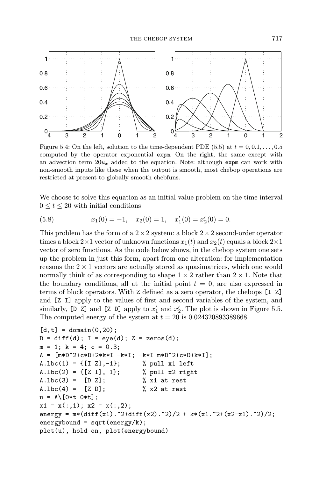

Figure 5.4: On the left, solution to the time-dependent PDE (5.5) at  $t = 0, 0.1, \ldots, 0.5$ computed by the operator exponential expm. On the right, the same except with an advection term  $20u_x$  added to the equation. Note: although expm can work with non-smooth inputs like these when the output is smooth, most chebop operations are restricted at present to globally smooth chebfuns.

We choose to solve this equation as an initial value problem on the time interval  $0 \le t \le 20$  with initial conditions

(5.8) 
$$
x_1(0) = -1, \quad x_2(0) = 1, \quad x'_1(0) = x'_2(0) = 0.
$$

This problem has the form of a  $2 \times 2$  system: a block  $2 \times 2$  second-order operator times a block  $2\times1$  vector of unknown functions  $x_1(t)$  and  $x_2(t)$  equals a block  $2\times1$ vector of zero functions. As the code below shows, in the chebop system one sets up the problem in just this form, apart from one alteration: for implementation reasons the  $2 \times 1$  vectors are actually stored as quasimatrices, which one would normally think of as corresponding to shape  $1 \times 2$  rather than  $2 \times 1$ . Note that the boundary conditions, all at the initial point  $t = 0$ , are also expressed in terms of block operators. With Z defined as a zero operator, the chebops [I Z] and [Z I] apply to the values of first and second variables of the system, and similarly, [D Z] and [Z D] apply to  $x'_1$  and  $x'_2$ . The plot is shown in Figure 5.5. The computed energy of the system at  $t = 20$  is 0.024320893389668.

```
[d, t] = domain(0, 20);D = diff(d); I = eye(d); Z = zeros(d);m = 1; k = 4; c = 0.3;
A = [\mbox{m} * \mbox{D}^2 + \mbox{c} * \mbox{D} + 2 * \mbox{k} * \mbox{I} - \mbox{k} * \mbox{I}; - \mbox{k} * \mbox{I} \mbox{m} * \mbox{D}^2 + \mbox{c} * \mbox{D} + \mbox{k} * \mbox{I}];A.lbc(1) = \{[I \; Z], -1\}; % pull x1 left
A.lbc(2) = {Z I}, 1}; % pull x2 right
A.1bc(3) = [D Z]; % x1 at rest
A.1bc(4) = [Z D]; % x2 at rest
u = A \[0*t 0*t];
x1 = x(:,1); x2 = x(:,2);energy = m*(diff(x1) .^2+diff(x2) .^2)/2 + k*(x1.^2+(x2-x1).^2)/2;energybound = sqrt(energy/k);plot(u), hold on, plot(energybound)
```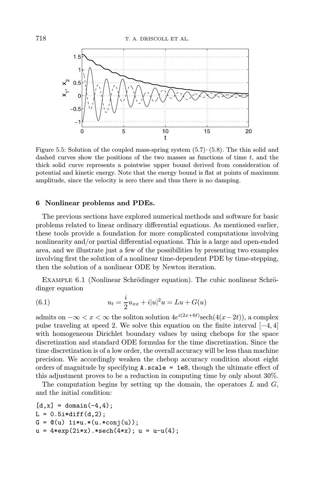

Figure 5.5: Solution of the coupled mass-spring system (5.7)–(5.8). The thin solid and dashed curves show the positions of the two masses as functions of time  $t$ , and the thick solid curve represents a pointwise upper bound derived from consideration of potential and kinetic energy. Note that the energy bound is flat at points of maximum amplitude, since the velocity is zero there and thus there is no damping.

### 6 Nonlinear problems and PDEs.

The previous sections have explored numerical methods and software for basic problems related to linear ordinary differential equations. As mentioned earlier, these tools provide a foundation for more complicated computations involving nonlinearity and/or partial differential equations. This is a large and open-ended area, and we illustrate just a few of the possibilities by presenting two examples involving first the solution of a nonlinear time-dependent PDE by time-stepping, then the solution of a nonlinear ODE by Newton iteration.

EXAMPLE 6.1 (Nonlinear Schrödinger equation). The cubic nonlinear Schrödinger equation

(6.1) 
$$
u_t = \frac{i}{2}u_{xx} + i|u|^2 u = Lu + G(u)
$$

admits on  $-\infty < x < \infty$  the soliton solution  $4e^{i(2x+6t)} \text{sech}(4(x-2t))$ , a complex pulse traveling at speed 2. We solve this equation on the finite interval  $[-4, 4]$ with homogeneous Dirichlet boundary values by using chebops for the space discretization and standard ODE formulas for the time discretization. Since the time discretization is of a low order, the overall accuracy will be less than machine precision. We accordingly weaken the chebop accuracy condition about eight orders of magnitude by specifying A.scale = 1e8, though the ultimate effect of this adjustment proves to be a reduction in computing time by only about 30%.

The computation begins by setting up the domain, the operators  $L$  and  $G$ , and the initial condition:

$$
[d, x] = \text{domain}(-4, 4);
$$
  
\nL = 0.5i \* diff(d, 2);  
\nG = @(u) 1i \* u. \* (u. \* conj(u));  
\nu = 4\*exp(2i \* x). \* sech(4\*x); u = u-u(4);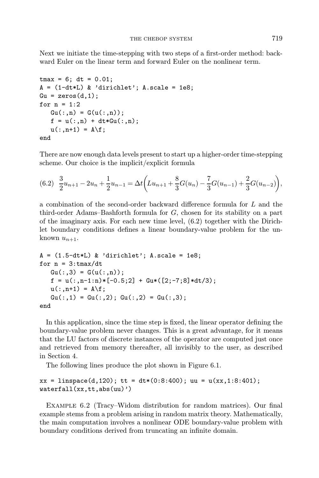Next we initiate the time-stepping with two steps of a first-order method: backward Euler on the linear term and forward Euler on the nonlinear term.

```
tmax = 6; dt = 0.01;
A = (1-dt*L) & 'dirichlet'; A-scale = 1e8;Gu = zeros(d, 1);for n = 1:2Gu(:,n) = G(u(:,n));f = u(:,n) + dt * Gu(:,n);u(:,n+1) = A\f;
end
```
There are now enough data levels present to start up a higher-order time-stepping scheme. Our choice is the implicit/explicit formula

$$
(6.2)\quad \frac{3}{2}u_{n+1} - 2u_n + \frac{1}{2}u_{n-1} = \Delta t \left(Lu_{n+1} + \frac{8}{3}G(u_n) - \frac{7}{3}G(u_{n-1}) + \frac{2}{3}G(u_{n-2})\right),
$$

a combination of the second-order backward difference formula for L and the third-order Adams–Bashforth formula for G, chosen for its stability on a part of the imaginary axis. For each new time level, (6.2) together with the Dirichlet boundary conditions defines a linear boundary-value problem for the unknown  $u_{n+1}$ .

```
A = (1.5-dt*L) & 'dirichlet'; A.scale = 1e8;
for n = 3:tmax/dt
  Gu(:,3) = G(u(:,n));f = u(:,n-1:n)*(-0.5;2] + Gu*((2;-7;8)*dt/3);u(:, n+1) = A \;
  Gu(:,1) = Gu(:,2); Gu(:,2) = Gu(:,3);end
```
In this application, since the time step is fixed, the linear operator defining the boundary-value problem never changes. This is a great advantage, for it means that the LU factors of discrete instances of the operator are computed just once and retrieved from memory thereafter, all invisibly to the user, as described in Section 4.

The following lines produce the plot shown in Figure 6.1.

```
xx = \text{linspace}(d,120); tt = dt * (0:8:400); uu = u(xx,1:8:401);
waterfall(xx,tt,abs(uu)')
```
Example 6.2 (Tracy–Widom distribution for random matrices). Our final example stems from a problem arising in random matrix theory. Mathematically, the main computation involves a nonlinear ODE boundary-value problem with boundary conditions derived from truncating an infinite domain.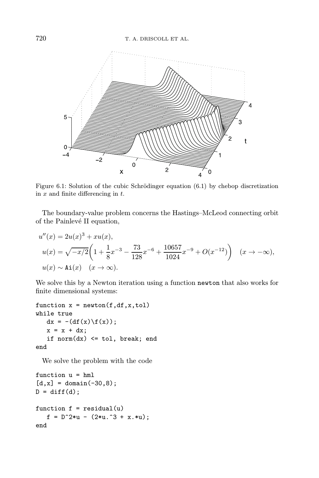

Figure 6.1: Solution of the cubic Schrödinger equation  $(6.1)$  by chebop discretization in  $x$  and finite differencing in  $t$ .

The boundary-value problem concerns the Hastings–McLeod connecting orbit of the Painlevé II equation,

$$
u''(x) = 2u(x)^3 + xu(x),
$$
  
\n
$$
u(x) = \sqrt{-x/2} \left( 1 + \frac{1}{8} x^{-3} - \frac{73}{128} x^{-6} + \frac{10657}{1024} x^{-9} + O(x^{-12}) \right) \quad (x \to -\infty),
$$
  
\n
$$
u(x) \sim \text{Ai}(x) \quad (x \to \infty).
$$

We solve this by a Newton iteration using a function newton that also works for finite dimensional systems:

```
function x = newton(f, df, x, tol)while true
   dx = -(df(x) \ f(x));x = x + dx;
   if norm(dx) \leq tol, break; end
end
```
We solve the problem with the code

```
function u = hml
[d, x] = domain(-30, 8);D = diff(d);function f = \text{residual}(u)f = D^2*u - (2*u.^3 + x.*u);end
```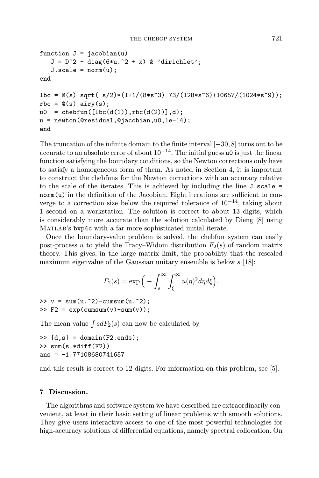```
function J = jacobian(u)J = D^2 - diag(6*u.^2 + x) & 'dirichlet';
   J.scale = norm(u);end
lbc = \mathcal{O}(s) sqrt(-s/2)*(1+1/(8*s^3)-73/(128*s^6)+10657/(1024*s^9));rbc = \mathbb{Q}(s) airy(s);
u0 = \text{chebfun}([1bc(d(1)), \text{rbc}(d(2))], d);u = newton(@residual,@jacobian,u0,1e-14);
end
```
The truncation of the infinite domain to the finite interval [−30, 8] turns out to be accurate to an absolute error of about  $10^{-14}$ . The initial guess u0 is just the linear function satisfying the boundary conditions, so the Newton corrections only have to satisfy a homogeneous form of them. As noted in Section 4, it is important to construct the chebfuns for the Newton corrections with an accuracy relative to the scale of the iterates. This is achieved by including the line J.scale = norm(u) in the definition of the Jacobian. Eight iterations are sufficient to converge to a correction size below the required tolerance of  $10^{-14}$ , taking about 1 second on a workstation. The solution is correct to about 13 digits, which is considerably more accurate than the solution calculated by Dieng [8] using MATLAB's bvp4c with a far more sophisticated initial iterate.

Once the boundary-value problem is solved, the chebfun system can easily post-process u to yield the Tracy–Widom distribution  $F_2(s)$  of random matrix theory. This gives, in the large matrix limit, the probability that the rescaled maximum eigenvalue of the Gaussian unitary ensemble is below  $s$  [18]:

$$
F_2(s) = \exp\Big(-\int_s^\infty \int_\xi^\infty u(\eta)^2 d\eta d\xi\Big).
$$

 $\Rightarrow$  v = sum(u.^2)-cumsum(u.^2);  $\Rightarrow$  F2 = exp(cumsum(v)-sum(v));

The mean value  $\int s dF_2(s)$  can now be calculated by

```
\Rightarrow [d,s] = domain(F2.ends);
>> sum(s.*diff(F2))
ans = -1.77108680741657
```
and this result is correct to 12 digits. For information on this problem, see [5].

### 7 Discussion.

The algorithms and software system we have described are extraordinarily convenient, at least in their basic setting of linear problems with smooth solutions. They give users interactive access to one of the most powerful technologies for high-accuracy solutions of differential equations, namely spectral collocation. On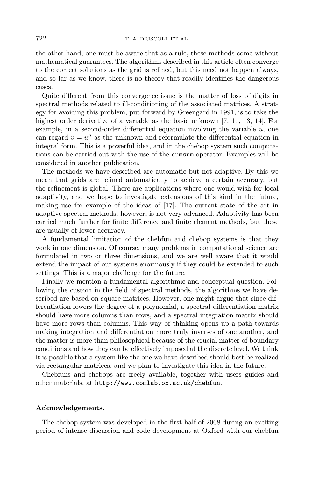the other hand, one must be aware that as a rule, these methods come without mathematical guarantees. The algorithms described in this article often converge to the correct solutions as the grid is refined, but this need not happen always, and so far as we know, there is no theory that readily identifies the dangerous cases.

Quite different from this convergence issue is the matter of loss of digits in spectral methods related to ill-conditioning of the associated matrices. A strategy for avoiding this problem, put forward by Greengard in 1991, is to take the highest order derivative of a variable as the basic unknown [7, 11, 13, 14]. For example, in a second-order differential equation involving the variable  $u$ , one can regard  $v = u''$  as the unknown and reformulate the differential equation in integral form. This is a powerful idea, and in the chebop system such computations can be carried out with the use of the cumsum operator. Examples will be considered in another publication.

The methods we have described are automatic but not adaptive. By this we mean that grids are refined automatically to achieve a certain accuracy, but the refinement is global. There are applications where one would wish for local adaptivity, and we hope to investigate extensions of this kind in the future, making use for example of the ideas of [17]. The current state of the art in adaptive spectral methods, however, is not very advanced. Adaptivity has been carried much further for finite difference and finite element methods, but these are usually of lower accuracy.

A fundamental limitation of the chebfun and chebop systems is that they work in one dimension. Of course, many problems in computational science are formulated in two or three dimensions, and we are well aware that it would extend the impact of our systems enormously if they could be extended to such settings. This is a major challenge for the future.

Finally we mention a fundamental algorithmic and conceptual question. Following the custom in the field of spectral methods, the algorithms we have described are based on square matrices. However, one might argue that since differentiation lowers the degree of a polynomial, a spectral differentiation matrix should have more columns than rows, and a spectral integration matrix should have more rows than columns. This way of thinking opens up a path towards making integration and differentiation more truly inverses of one another, and the matter is more than philosophical because of the crucial matter of boundary conditions and how they can be effectively imposed at the discrete level. We think it is possible that a system like the one we have described should best be realized via rectangular matrices, and we plan to investigate this idea in the future.

Chebfuns and chebops are freely available, together with users guides and other materials, at http://www.comlab.ox.ac.uk/chebfun.

# Acknowledgements.

The chebop system was developed in the first half of 2008 during an exciting period of intense discussion and code development at Oxford with our chebfun